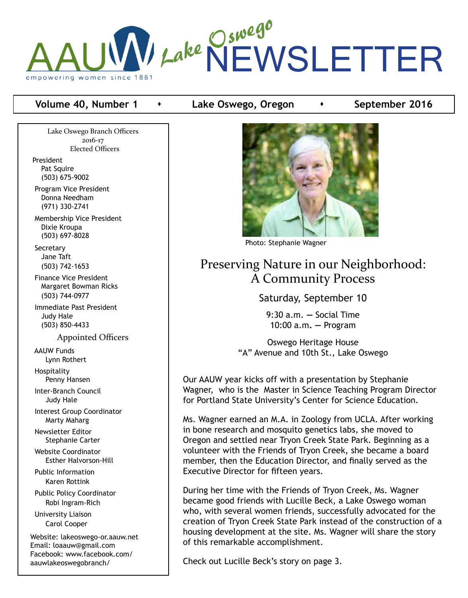

#### **Volume 40, Number 1 Conservent Lake Oswego, Oregon Conservent Proper 2016**

Lake Oswego Branch Officers 2016-17 Elected Officers

President Pat Squire (503) 675-9002

 Program Vice President Donna Needham (971) 330-2741

 Membership Vice President Dixie Kroupa (503) 697-8028

**Secretary**  Jane Taft (503) 742-1653

 Finance Vice President Margaret Bowman Ricks (503) 744-0977

 Immediate Past President Judy Hale (503) 850-4433

Appointed Officers

 AAUW Funds Lynn Rothert

 Hospitality Penny Hansen

 Inter-Branch Council Judy Hale

 Interest Group Coordinator Marty Maharg

 Newsletter Editor Stephanie Carter

 Website Coordinator Esther Halvorson-Hill

 Public Information Karen Rottink

 Public Policy Coordinator Robi Ingram-Rich

 University Liaison Carol Cooper

Website: lakeoswego-or.aauw.net Email: loaauw@gmail.com Facebook: www.facebook.com/ aauwlakeoswegobranch/



Photo: Stephanie Wagner

# Preserving Nature in our Neighborhood: A Community Process

Saturday, September 10

9:30 a.m. **—** Social Time 10:00 a.m**. —** Program

Oswego Heritage House "A" Avenue and 10th St., Lake Oswego

Our AAUW year kicks off with a presentation by Stephanie Wagner, who is the Master in Science Teaching Program Director for Portland State University's Center for Science Education.

Ms. Wagner earned an M.A. in Zoology from UCLA. After working in bone research and mosquito genetics labs, she moved to Oregon and settled near Tryon Creek State Park. Beginning as a volunteer with the Friends of Tryon Creek, she became a board member, then the Education Director, and finally served as the Executive Director for fifteen years.

During her time with the Friends of Tryon Creek, Ms. Wagner became good friends with Lucille Beck, a Lake Oswego woman who, with several women friends, successfully advocated for the creation of Tryon Creek State Park instead of the construction of a housing development at the site. Ms. Wagner will share the story of this remarkable accomplishment.

Check out Lucille Beck's story on page 3.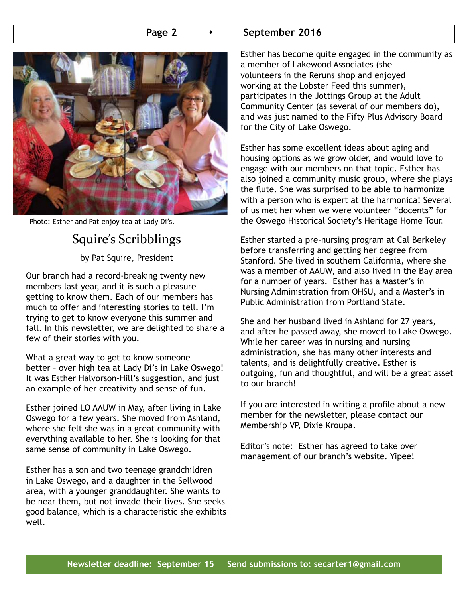#### **Page 2 •** September 2016



Photo: Esther and Pat enjoy tea at Lady Di's.

# Squire's Scribblings

by Pat Squire, President

Our branch had a record-breaking twenty new members last year, and it is such a pleasure getting to know them. Each of our members has much to offer and interesting stories to tell. I'm trying to get to know everyone this summer and fall. In this newsletter, we are delighted to share a few of their stories with you.

What a great way to get to know someone better – over high tea at Lady Di's in Lake Oswego! It was Esther Halvorson-Hill's suggestion, and just an example of her creativity and sense of fun.

Esther joined LO AAUW in May, after living in Lake Oswego for a few years. She moved from Ashland, where she felt she was in a great community with everything available to her. She is looking for that same sense of community in Lake Oswego.

Esther has a son and two teenage grandchildren in Lake Oswego, and a daughter in the Sellwood area, with a younger granddaughter. She wants to be near them, but not invade their lives. She seeks good balance, which is a characteristic she exhibits well.

Esther has become quite engaged in the community as a member of Lakewood Associates (she volunteers in the Reruns shop and enjoyed working at the Lobster Feed this summer), participates in the Jottings Group at the Adult Community Center (as several of our members do), and was just named to the Fifty Plus Advisory Board for the City of Lake Oswego.

Esther has some excellent ideas about aging and housing options as we grow older, and would love to engage with our members on that topic. Esther has also joined a community music group, where she plays the flute. She was surprised to be able to harmonize with a person who is expert at the harmonica! Several of us met her when we were volunteer "docents" for the Oswego Historical Society's Heritage Home Tour.

Esther started a pre-nursing program at Cal Berkeley before transferring and getting her degree from Stanford. She lived in southern California, where she was a member of AAUW, and also lived in the Bay area for a number of years. Esther has a Master's in Nursing Administration from OHSU, and a Master's in Public Administration from Portland State.

She and her husband lived in Ashland for 27 years, and after he passed away, she moved to Lake Oswego. While her career was in nursing and nursing administration, she has many other interests and talents, and is delightfully creative. Esther is outgoing, fun and thoughtful, and will be a great asset to our branch!

If you are interested in writing a profile about a new member for the newsletter, please contact our Membership VP, Dixie Kroupa.

Editor's note: Esther has agreed to take over management of our branch's website. Yipee!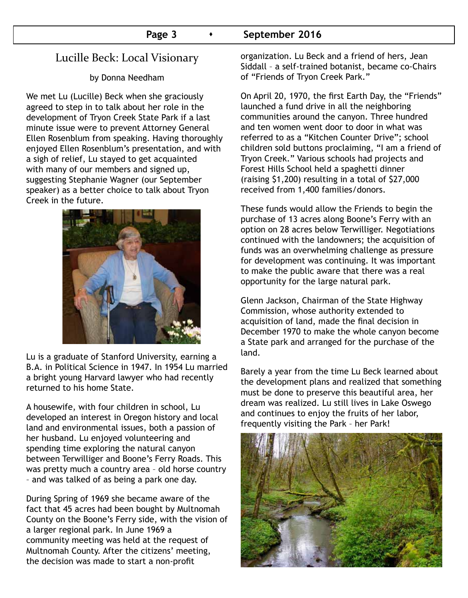#### **Page 3 •** September 2016

# Lucille Beck: Local Visionary

by Donna Needham

We met Lu (Lucille) Beck when she graciously agreed to step in to talk about her role in the development of Tryon Creek State Park if a last minute issue were to prevent Attorney General Ellen Rosenblum from speaking. Having thoroughly enjoyed Ellen Rosenblum's presentation, and with a sigh of relief, Lu stayed to get acquainted with many of our members and signed up, suggesting Stephanie Wagner (our September speaker) as a better choice to talk about Tryon Creek in the future.



Lu is a graduate of Stanford University, earning a B.A. in Political Science in 1947. In 1954 Lu married a bright young Harvard lawyer who had recently returned to his home State.

A housewife, with four children in school, Lu developed an interest in Oregon history and local land and environmental issues, both a passion of her husband. Lu enjoyed volunteering and spending time exploring the natural canyon between Terwilliger and Boone's Ferry Roads. This was pretty much a country area – old horse country – and was talked of as being a park one day.

During Spring of 1969 she became aware of the fact that 45 acres had been bought by Multnomah County on the Boone's Ferry side, with the vision of a larger regional park. In June 1969 a community meeting was held at the request of Multnomah County. After the citizens' meeting, the decision was made to start a non-profit

organization. Lu Beck and a friend of hers, Jean Siddall – a self-trained botanist, became co-Chairs of "Friends of Tryon Creek Park."

On April 20, 1970, the first Earth Day, the "Friends" launched a fund drive in all the neighboring communities around the canyon. Three hundred and ten women went door to door in what was referred to as a "Kitchen Counter Drive"; school children sold buttons proclaiming, "I am a friend of Tryon Creek." Various schools had projects and Forest Hills School held a spaghetti dinner (raising \$1,200) resulting in a total of \$27,000 received from 1,400 families/donors.

These funds would allow the Friends to begin the purchase of 13 acres along Boone's Ferry with an option on 28 acres below Terwilliger. Negotiations continued with the landowners; the acquisition of funds was an overwhelming challenge as pressure for development was continuing. It was important to make the public aware that there was a real opportunity for the large natural park.

Glenn Jackson, Chairman of the State Highway Commission, whose authority extended to acquisition of land, made the final decision in December 1970 to make the whole canyon become a State park and arranged for the purchase of the land.

Barely a year from the time Lu Beck learned about the development plans and realized that something must be done to preserve this beautiful area, her dream was realized. Lu still lives in Lake Oswego and continues to enjoy the fruits of her labor, frequently visiting the Park – her Park!

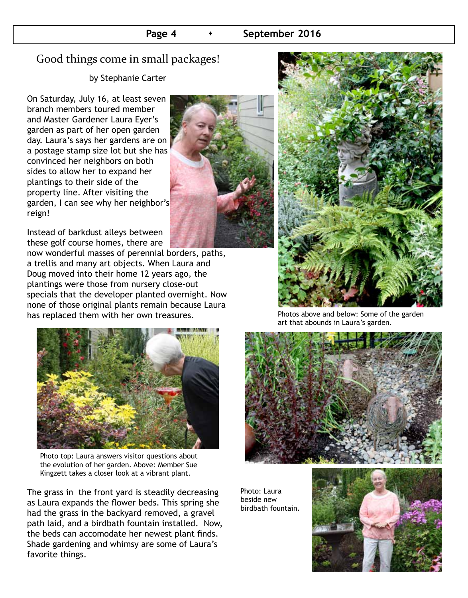# Good things come in small packages!

by Stephanie Carter

On Saturday, July 16, at least seven branch members toured member and Master Gardener Laura Eyer's garden as part of her open garden day. Laura's says her gardens are on a postage stamp size lot but she has convinced her neighbors on both sides to allow her to expand her plantings to their side of the property line. After visiting the garden, I can see why her neighbor's reign!

Instead of barkdust alleys between these golf course homes, there are

now wonderful masses of perennial borders, paths, a trellis and many art objects. When Laura and Doug moved into their home 12 years ago, the plantings were those from nursery close-out specials that the developer planted overnight. Now none of those original plants remain because Laura has replaced them with her own treasures.



Photo top: Laura answers visitor questions about the evolution of her garden. Above: Member Sue Kingzett takes a closer look at a vibrant plant.

The grass in the front yard is steadily decreasing as Laura expands the flower beds. This spring she had the grass in the backyard removed, a gravel path laid, and a birdbath fountain installed. Now, the beds can accomodate her newest plant finds. Shade gardening and whimsy are some of Laura's favorite things.





Photos above and below: Some of the garden art that abounds in Laura's garden.



Photo: Laura beside new birdbath fountain.

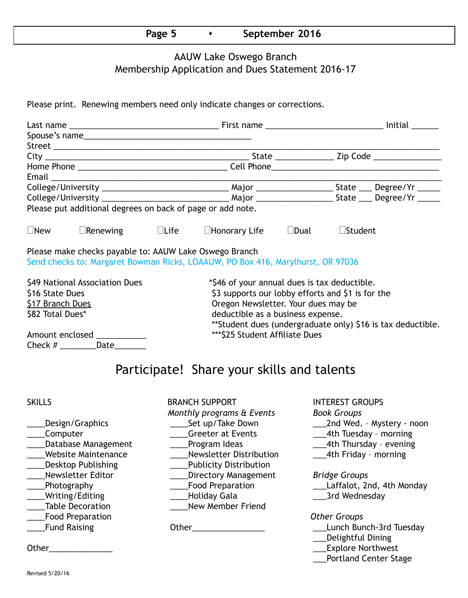#### **Page 5 •** September 2016

## AAUW Lake Oswego Branch Membership Application and Dues Statement 2016-17

Please print. Renewing members need only indicate changes or corrections.

|                                                            | Spouse's name                                          |  |                                                                                 |  |                |                                                              |  |  |  |  |
|------------------------------------------------------------|--------------------------------------------------------|--|---------------------------------------------------------------------------------|--|----------------|--------------------------------------------------------------|--|--|--|--|
|                                                            |                                                        |  |                                                                                 |  |                |                                                              |  |  |  |  |
|                                                            |                                                        |  |                                                                                 |  |                |                                                              |  |  |  |  |
|                                                            |                                                        |  |                                                                                 |  |                |                                                              |  |  |  |  |
|                                                            |                                                        |  |                                                                                 |  |                |                                                              |  |  |  |  |
|                                                            |                                                        |  |                                                                                 |  |                |                                                              |  |  |  |  |
|                                                            |                                                        |  |                                                                                 |  |                |                                                              |  |  |  |  |
| Please put additional degrees on back of page or add note. |                                                        |  |                                                                                 |  |                |                                                              |  |  |  |  |
|                                                            |                                                        |  |                                                                                 |  |                |                                                              |  |  |  |  |
| $\Box$ New                                                 | $\Box$ Renewing $\Box$ Life                            |  | $\Box$ Honorary Life $\Box$ Dual                                                |  | $\Box$ Student |                                                              |  |  |  |  |
|                                                            | Please make checks payable to: AAUW Lake Oswego Branch |  | Send checks to: Margaret Bowman Ricks, LOAAUW, PO Box 416, Marylhurst, OR 97036 |  |                |                                                              |  |  |  |  |
| \$49 National Association Dues                             |                                                        |  | *\$46 of your annual dues is tax deductible.                                    |  |                |                                                              |  |  |  |  |
| \$16 State Dues                                            |                                                        |  | \$3 supports our lobby efforts and \$1 is for the                               |  |                |                                                              |  |  |  |  |
| \$17 Branch Dues                                           |                                                        |  | Oregon Newsletter. Your dues may be                                             |  |                |                                                              |  |  |  |  |
| \$82 Total Dues*                                           |                                                        |  | deductible as a business expense.                                               |  |                |                                                              |  |  |  |  |
|                                                            |                                                        |  |                                                                                 |  |                | ** Student dues (undergraduate only) \$16 is tax deductible. |  |  |  |  |
| Amount enclosed ___________                                |                                                        |  | *** \$25 Student Affiliate Dues                                                 |  |                |                                                              |  |  |  |  |
|                                                            | Check # ___________Date_________                       |  |                                                                                 |  |                |                                                              |  |  |  |  |
|                                                            |                                                        |  | Participate! Share your skills and talents                                      |  |                |                                                              |  |  |  |  |

| u | × |
|---|---|
|---|---|

- 
- BRANCH SUPPORT INTEREST GROUPS *Monthly programs & Events Book Groups* \_\_\_\_Computer \_\_\_\_Greeter at Events \_\_\_4th Tuesday – morning Latabase Management Lating Program Ideas 2014 Latabase 2014 Management Charles Program Ideas \_Website Maintenance \_\_\_\_\_\_\_\_\_\_\_\_\_\_Newsletter Distribution \_\_\_\_\_\_\_\_\_\_\_\_\_\_\_\_\_\_\_\_\_4th Friday - morning \_\_\_\_Desktop Publishing \_\_\_\_Publicity Distribution \_\_\_\_Newsletter Editor \_\_\_\_Directory Management *Bridge Groups* \_\_\_\_Photography \_\_\_\_Food Preparation \_\_\_Laffalot, 2nd, 4th Monday \_\_\_\_Writing/Editing \_\_\_\_Holiday Gala \_\_\_3rd Wednesday Table Decoration **Table Decoration New Member Friend** \_\_\_\_Food Preparation *Other Groups* Land Raising The Communication Culter Communication Communication Communication Communication Communication Co
	-
	-
	- \_\_\_\_Design/Graphics \_\_\_\_Set up/Take Down \_\_\_2nd Wed. Mystery noon
		-
		-
		-

- 
- 

- 
- \_\_\_Delightful Dining
- Other\_\_\_\_\_\_\_\_\_\_\_\_\_\_ \_\_\_Explore Northwest
	- \_\_\_Portland Center Stage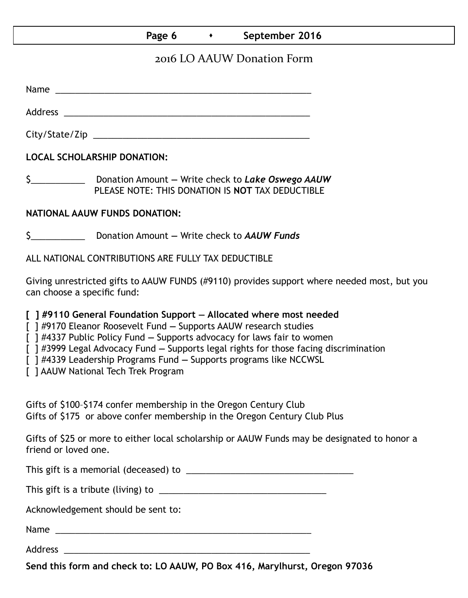## **Page 6 •** September 2016

# 2016 LO AAUW Donation Form

Name was also as a set of  $\sim$  200  $\mu$  m  $\sim$  200  $\mu$  m  $\sim$  200  $\mu$  m  $\sim$  200  $\mu$  m  $\sim$  200  $\mu$ 

Address \_\_\_\_\_\_\_\_\_\_\_\_\_\_\_\_\_\_\_\_\_\_\_\_\_\_\_\_\_\_\_\_\_\_\_\_\_\_\_\_\_\_\_\_\_\_\_\_\_\_ City/State/Zip \_\_\_\_\_\_\_\_\_\_\_\_\_\_\_\_\_\_\_\_\_\_\_\_\_\_\_\_\_\_\_\_\_\_\_\_\_\_\_\_\_\_\_\_

**LOCAL SCHOLARSHIP DONATION:**

\$\_\_\_\_\_\_\_\_\_\_\_ Donation Amount **—** Write check to *Lake Oswego AAUW* PLEASE NOTE: THIS DONATION IS **NOT** TAX DEDUCTIBLE

#### **NATIONAL AAUW FUNDS DONATION:**

\$\_\_\_\_\_\_\_\_\_\_\_ Donation Amount **—** Write check to *AAUW Funds*

ALL NATIONAL CONTRIBUTIONS ARE FULLY TAX DEDUCTIBLE

Giving unrestricted gifts to AAUW FUNDS (#9110) provides support where needed most, but you can choose a specific fund:

**[ ] #9110 General Foundation Support — Allocated where most needed** 

[ ] #9170 Eleanor Roosevelt Fund **—** Supports AAUW research studies

[ ] #4337 Public Policy Fund **—** Supports advocacy for laws fair to women

[ ] #3999 Legal Advocacy Fund **—** Supports legal rights for those facing discrimination

[ ] #4339 Leadership Programs Fund **—** Supports programs like NCCWSL

[ ] AAUW National Tech Trek Program

Gifts of \$100–\$174 confer membership in the Oregon Century Club Gifts of \$175 or above confer membership in the Oregon Century Club Plus

Gifts of \$25 or more to either local scholarship or AAUW Funds may be designated to honor a friend or loved one.

This gift is a memorial (deceased) to \_\_\_\_\_\_\_\_\_\_\_\_\_\_\_\_\_\_\_\_\_\_\_\_\_\_\_\_\_\_\_\_\_\_

This gift is a tribute (living) to \_\_\_\_\_\_\_\_\_\_\_\_\_\_\_\_\_\_\_\_\_\_\_\_\_\_\_\_\_\_\_\_\_\_

Acknowledgement should be sent to:

Name \_\_\_\_\_\_\_\_\_\_\_\_\_\_\_\_\_\_\_\_\_\_\_\_\_\_\_\_\_\_\_\_\_\_\_\_\_\_\_\_\_\_\_\_\_\_\_\_\_\_\_\_

Address \_\_\_\_\_\_\_\_\_\_\_\_\_\_\_\_\_\_\_\_\_\_\_\_\_\_\_\_\_\_\_\_\_\_\_\_\_\_\_\_\_\_\_\_\_\_\_\_\_\_

**Send this form and check to: LO AAUW, PO Box 416, Marylhurst, Oregon 97036**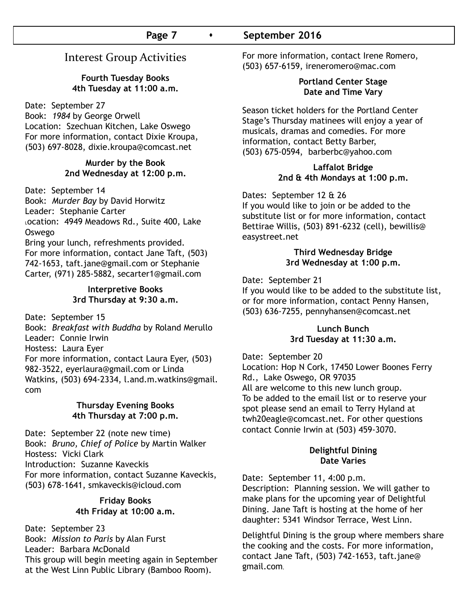# Interest Group Activities

#### **Fourth Tuesday Books 4th Tuesday at 11:00 a.m.**

Date: September 27

Book: *1984* by George Orwell Location: Szechuan Kitchen, Lake Oswego For more information, contact Dixie Kroupa, (503) 697-8028, dixie.kroupa@comcast.net

#### **Murder by the Book 2nd Wednesday at 12:00 p.m.**

Date: September 14 Book: *Murder Bay* by David Horwitz Leader: Stephanie Carter Location: 4949 Meadows Rd., Suite 400, Lake Oswego Bring your lunch, refreshments provided. For more information, contact Jane Taft, (503) 742-1653, taft.jane@gmail.com or Stephanie Carter, (971) 285-5882, secarter1@gmail.com

#### **Interpretive Books 3rd Thursday at 9:30 a.m.**

Date: September 15

Book: *Breakfast with Buddha* by Roland Merullo Leader: Connie Irwin Hostess: Laura Eyer For more information, contact Laura Eyer, (503) 982-3522, eyerlaura@gmail.com or Linda Watkins, (503) 694-2334, l.and.m.watkins@gmail. com

#### **Thursday Evening Books 4th Thursday at 7:00 p.m.**

Date: September 22 (note new time) Book: *Bruno, Chief of Police* by Martin Walker Hostess: Vicki Clark Introduction: Suzanne Kaveckis For more information, contact Suzanne Kaveckis, (503) 678-1641, smkaveckis@icloud.com

#### **Friday Books 4th Friday at 10:00 a.m.**

Date: September 23 Book: *Mission to Paris* by Alan Furst Leader: Barbara McDonald This group will begin meeting again in September at the West Linn Public Library (Bamboo Room).

For more information, contact Irene Romero, (503) 657-6159, ireneromero@mac.com

#### **Portland Center Stage Date and Time Vary**

Season ticket holders for the Portland Center Stage's Thursday matinees will enjoy a year of musicals, dramas and comedies. For more information, contact Betty Barber, (503) 675-0594, barberbc@yahoo.com

#### **Laffalot Bridge 2nd & 4th Mondays at 1:00 p.m.**

Dates: September 12 & 26

If you would like to join or be added to the substitute list or for more information, contact Bettirae Willis, (503) 891-6232 (cell), bewillis@ easystreet.net

#### **Third Wednesday Bridge 3rd Wednesday at 1:00 p.m.**

Date: September 21

If you would like to be added to the substitute list, or for more information, contact Penny Hansen, (503) 636-7255, pennyhansen@comcast.net

#### **Lunch Bunch 3rd Tuesday at 11:30 a.m.**

Date: September 20

Location: Hop N Cork, 17450 Lower Boones Ferry Rd., Lake Oswego, OR 97035 All are welcome to this new lunch group. To be added to the email list or to reserve your spot please send an email to Terry Hyland at twh20eagle@comcast.net. For other questions contact Connie Irwin at (503) 459-3070.

#### **Delightful Dining Date Varies**

Date: September 11, 4:00 p.m. Description: Planning session. We will gather to make plans for the upcoming year of Delightful Dining. Jane Taft is hosting at the home of her daughter: 5341 Windsor Terrace, West Linn.

Delightful Dining is the group where members share the cooking and the costs. For more information, contact Jane Taft, (503) 742-1653, taft.jane@ gmail.com**.**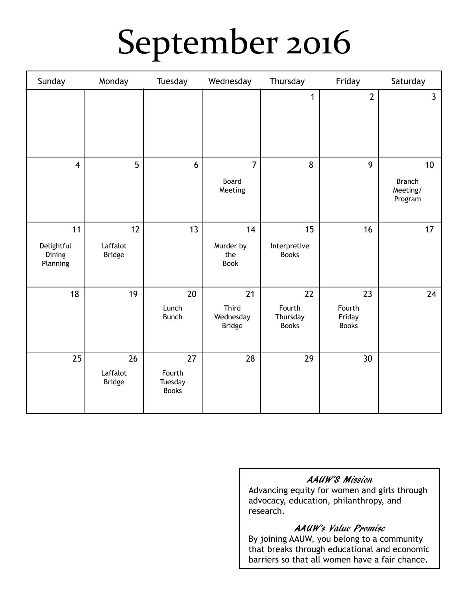# September 2016

| Sunday                                 | Monday                          | Tuesday                                 | Wednesday                                 | Thursday                                 | Friday                                 | Saturday                                   |
|----------------------------------------|---------------------------------|-----------------------------------------|-------------------------------------------|------------------------------------------|----------------------------------------|--------------------------------------------|
|                                        |                                 |                                         |                                           | 1                                        | $\overline{2}$                         | $\overline{3}$                             |
| $\overline{\mathbf{4}}$                | $5\overline{)}$                 | 6                                       | $\overline{7}$<br>Board<br>Meeting        | 8                                        | 9                                      | 10<br><b>Branch</b><br>Meeting/<br>Program |
| 11<br>Delightful<br>Dining<br>Planning | 12<br>Laffalot<br><b>Bridge</b> | 13                                      | 14<br>Murder by<br>the<br><b>Book</b>     | 15<br>Interpretive<br><b>Books</b>       | 16                                     | 17                                         |
| 18                                     | 19                              | $20\,$<br>Lunch<br><b>Bunch</b>         | 21<br>Third<br>Wednesday<br><b>Bridge</b> | 22<br>Fourth<br>Thursday<br><b>Books</b> | 23<br>Fourth<br>Friday<br><b>Books</b> | 24                                         |
| 25                                     | 26<br>Laffalot<br><b>Bridge</b> | 27<br>Fourth<br>Tuesday<br><b>Books</b> | 28                                        | 29                                       | 30 <sup>°</sup>                        |                                            |

# AAUW'S Mission

Advancing equity for women and girls through advocacy, education, philanthropy, and research.

# AAUW's Value Promise

By joining AAUW, you belong to a community that breaks through educational and economic barriers so that all women have a fair chance.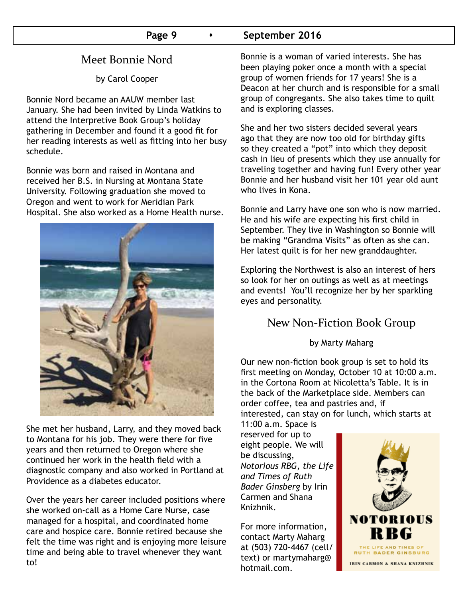# **Page 9 •** September 2016

# Meet Bonnie Nord

by Carol Cooper

Bonnie Nord became an AAUW member last January. She had been invited by Linda Watkins to attend the Interpretive Book Group's holiday gathering in December and found it a good fit for her reading interests as well as fitting into her busy schedule.

Bonnie was born and raised in Montana and received her B.S. in Nursing at Montana State University. Following graduation she moved to Oregon and went to work for Meridian Park Hospital. She also worked as a Home Health nurse.



She met her husband, Larry, and they moved back to Montana for his job. They were there for five years and then returned to Oregon where she continued her work in the health field with a diagnostic company and also worked in Portland at Providence as a diabetes educator.

Over the years her career included positions where she worked on-call as a Home Care Nurse, case managed for a hospital, and coordinated home care and hospice care. Bonnie retired because she felt the time was right and is enjoying more leisure time and being able to travel whenever they want to!

Bonnie is a woman of varied interests. She has been playing poker once a month with a special group of women friends for 17 years! She is a Deacon at her church and is responsible for a small group of congregants. She also takes time to quilt and is exploring classes.

She and her two sisters decided several years ago that they are now too old for birthday gifts so they created a "pot" into which they deposit cash in lieu of presents which they use annually for traveling together and having fun! Every other year Bonnie and her husband visit her 101 year old aunt who lives in Kona.

Bonnie and Larry have one son who is now married. He and his wife are expecting his first child in September. They live in Washington so Bonnie will be making "Grandma Visits" as often as she can. Her latest quilt is for her new granddaughter.

Exploring the Northwest is also an interest of hers so look for her on outings as well as at meetings and events! You'll recognize her by her sparkling eyes and personality.

# New Non-Fiction Book Group

by Marty Maharg

Our new non-fiction book group is set to hold its first meeting on Monday, October 10 at 10:00 a.m. in the Cortona Room at Nicoletta's Table. It is in the back of the Marketplace side. Members can order coffee, tea and pastries and, if interested, can stay on for lunch, which starts at

11:00 a.m. Space is reserved for up to eight people. We will be discussing, *Notorious RBG, the Life and Times of Ruth Bader Ginsberg* by Irin Carmen and Shana Knizhnik.

For more information, contact Marty Maharg at (503) 720-4467 (cell/ text) or martymaharg@ hotmail.com.

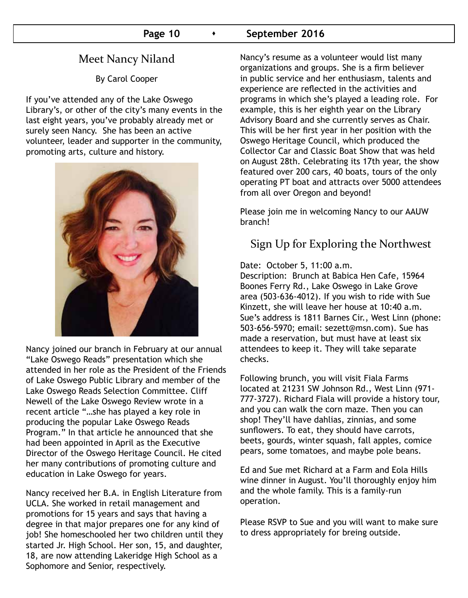# Meet Nancy Niland

By Carol Cooper

If you've attended any of the Lake Oswego Library's, or other of the city's many events in the last eight years, you've probably already met or surely seen Nancy. She has been an active volunteer, leader and supporter in the community, promoting arts, culture and history.



Nancy joined our branch in February at our annual "Lake Oswego Reads" presentation which she attended in her role as the President of the Friends of Lake Oswego Public Library and member of the Lake Oswego Reads Selection Committee. Cliff Newell of the Lake Oswego Review wrote in a recent article "…she has played a key role in producing the popular Lake Oswego Reads Program." In that article he announced that she had been appointed in April as the Executive Director of the Oswego Heritage Council. He cited her many contributions of promoting culture and education in Lake Oswego for years.

Nancy received her B.A. in English Literature from UCLA. She worked in retail management and promotions for 15 years and says that having a degree in that major prepares one for any kind of job! She homeschooled her two children until they started Jr. High School. Her son, 15, and daughter, 18, are now attending Lakeridge High School as a Sophomore and Senior, respectively.

Nancy's resume as a volunteer would list many organizations and groups. She is a firm believer in public service and her enthusiasm, talents and experience are reflected in the activities and programs in which she's played a leading role. For example, this is her eighth year on the Library Advisory Board and she currently serves as Chair. This will be her first year in her position with the Oswego Heritage Council, which produced the Collector Car and Classic Boat Show that was held on August 28th. Celebrating its 17th year, the show featured over 200 cars, 40 boats, tours of the only operating PT boat and attracts over 5000 attendees from all over Oregon and beyond!

Please join me in welcoming Nancy to our AAUW branch!

# Sign Up for Exploring the Northwest

Date: October 5, 11:00 a.m.

Description: Brunch at Babica Hen Cafe, 15964 Boones Ferry Rd., Lake Oswego in Lake Grove area (503-636-4012). If you wish to ride with Sue Kinzett, she will leave her house at 10:40 a.m. Sue's address is 1811 Barnes Cir., West Linn (phone: 503-656-5970; email: sezett@msn.com). Sue has made a reservation, but must have at least six attendees to keep it. They will take separate checks.

Following brunch, you will visit Fiala Farms located at 21231 SW Johnson Rd., West Linn (971- 777-3727). Richard Fiala will provide a history tour, and you can walk the corn maze. Then you can shop! They'll have dahlias, zinnias, and some sunflowers. To eat, they should have carrots, beets, gourds, winter squash, fall apples, comice pears, some tomatoes, and maybe pole beans.

Ed and Sue met Richard at a Farm and Eola Hills wine dinner in August. You'll thoroughly enjoy him and the whole family. This is a family-run operation.

Please RSVP to Sue and you will want to make sure to dress appropriately for breing outside.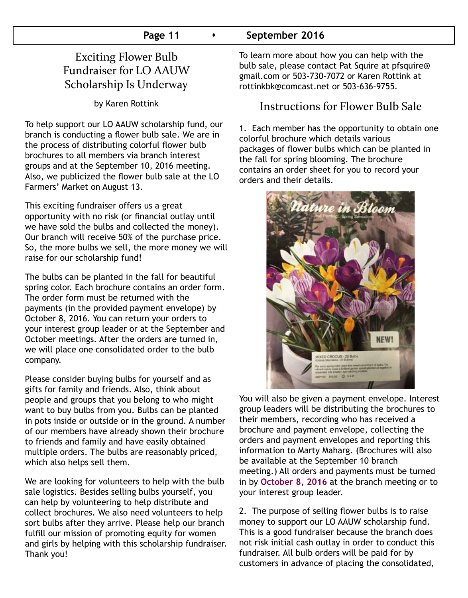# Exciting Flower Bulb Fundraiser for LO AAUW Scholarship Is Underway

by Karen Rottink

To help support our LO AAUW scholarship fund, our branch is conducting a flower bulb sale. We are in the process of distributing colorful flower bulb brochures to all members via branch interest groups and at the September 10, 2016 meeting. Also, we publicized the flower bulb sale at the LO Farmers' Market on August 13.

This exciting fundraiser offers us a great opportunity with no risk (or financial outlay until we have sold the bulbs and collected the money). Our branch will receive 50% of the purchase price. So, the more bulbs we sell, the more money we will raise for our scholarship fund!

The bulbs can be planted in the fall for beautiful spring color. Each brochure contains an order form. The order form must be returned with the payments (in the provided payment envelope) by October 8, 2016. You can return your orders to your interest group leader or at the September and October meetings. After the orders are turned in, we will place one consolidated order to the bulb company.

Please consider buying bulbs for yourself and as gifts for family and friends. Also, think about people and groups that you belong to who might want to buy bulbs from you. Bulbs can be planted in pots inside or outside or in the ground. A number of our members have already shown their brochure to friends and family and have easily obtained multiple orders. The bulbs are reasonably priced, which also helps sell them.

We are looking for volunteers to help with the bulb sale logistics. Besides selling bulbs yourself, you can help by volunteering to help distribute and collect brochures. We also need volunteers to help sort bulbs after they arrive. Please help our branch fulfill our mission of promoting equity for women and girls by helping with this scholarship fundraiser. Thank you!

To learn more about how you can help with the bulb sale, please contact Pat Squire at pfsquire@ gmail.com or 503-730-7072 or Karen Rottink at rottinkbk@comcast.net or 503-636-9755.

# Instructions for Flower Bulb Sale

1. Each member has the opportunity to obtain one colorful brochure which details various packages of flower bulbs which can be planted in the fall for spring blooming. The brochure contains an order sheet for you to record your orders and their details.



You will also be given a payment envelope. Interest group leaders will be distributing the brochures to their members, recording who has received a brochure and payment envelope, collecting the orders and payment envelopes and reporting this information to Marty Maharg. (Brochures will also be available at the September 10 branch meeting.) All orders and payments must be turned in by **October 8, 2016** at the branch meeting or to your interest group leader.

2. The purpose of selling flower bulbs is to raise money to support our LO AAUW scholarship fund. This is a good fundraiser because the branch does not risk initial cash outlay in order to conduct this fundraiser. All bulb orders will be paid for by customers in advance of placing the consolidated,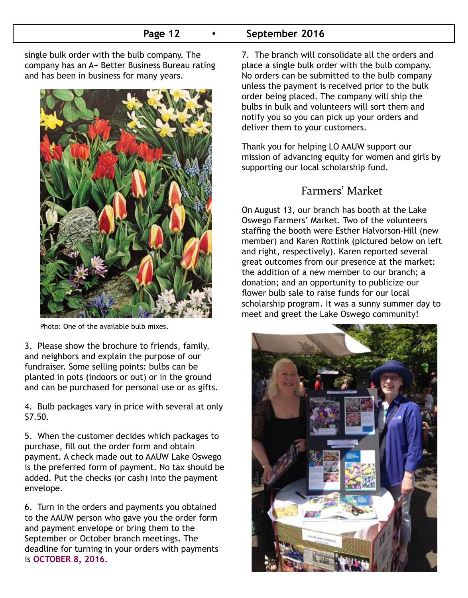# **Page 12 •** September 2016

single bulk order with the bulb company. The company has an A+ Better Business Bureau rating and has been in business for many years.



Photo: One of the available bulb mixes.

3. Please show the brochure to friends, family, and neighbors and explain the purpose of our fundraiser. Some selling points: bulbs can be planted in pots (indoors or out) or in the ground and can be purchased for personal use or as gifts.

4. Bulb packages vary in price with several at only \$7.50.

5. When the customer decides which packages to purchase, fill out the order form and obtain payment. A check made out to AAUW Lake Oswego is the preferred form of payment. No tax should be added. Put the checks (or cash) into the payment envelope.

6. Turn in the orders and payments you obtained to the AAUW person who gave you the order form and payment envelope or bring them to the September or October branch meetings. The deadline for turning in your orders with payments is **OCTOBER 8, 2016**.

7. The branch will consolidate all the orders and place a single bulk order with the bulb company. No orders can be submitted to the bulb company unless the payment is received prior to the bulk order being placed. The company will ship the bulbs in bulk and volunteers will sort them and notify you so you can pick up your orders and deliver them to your customers.

Thank you for helping LO AAUW support our mission of advancing equity for women and girls by supporting our local scholarship fund.

# Farmers' Market

On August 13, our branch has booth at the Lake Oswego Farmers' Market. Two of the volunteers staffing the booth were Esther Halvorson-Hill (new member) and Karen Rottink (pictured below on left and right, respectively). Karen reported several great outcomes from our presence at the market: the addition of a new member to our branch; a donation; and an opportunity to publicize our flower bulb sale to raise funds for our local scholarship program. It was a sunny summer day to meet and greet the Lake Oswego community!